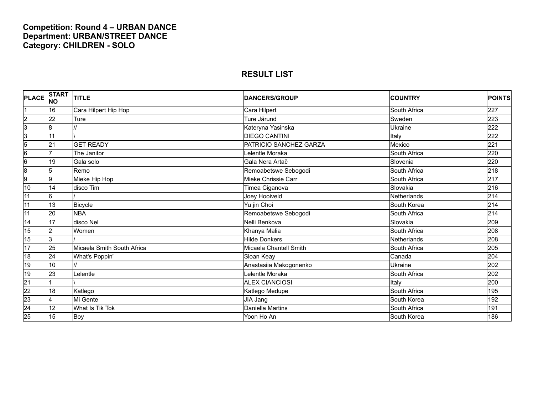### **Competition: Round 4 – URBAN DANCE Department: URBAN/STREET DANCE Category: CHILDREN - SOLO**

| <b>PLACE</b>    | <b>START</b><br><b>NO</b> | <b>TITLE</b>               | <b>DANCERS/GROUP</b>   | <b>COUNTRY</b>     | <b>POINTS</b>    |
|-----------------|---------------------------|----------------------------|------------------------|--------------------|------------------|
|                 | 16                        | Cara Hilpert Hip Hop       | Cara Hilpert           | South Africa       | 227              |
| $\overline{2}$  | 22                        | Ture                       | Ture Järund            | Sweden             | 223              |
| 3               | 8                         |                            | Kateryna Yasinska      | <b>Ukraine</b>     | 222              |
| 3               | 11                        |                            | <b>DIEGO CANTINI</b>   | Italy              | 222              |
| 5               | 21                        | <b>GET READY</b>           | PATRICIO SANCHEZ GARZA | Mexico             | 221              |
| $6\overline{6}$ | 17                        | The Janitor                | Lelentle Moraka        | South Africa       | 220              |
| $6\overline{6}$ | 19                        | Gala solo                  | Gala Nera Artač        | Slovenia           | 220              |
| $\overline{8}$  | 5                         | Remo                       | Remoabetswe Sebogodi   | South Africa       | 218              |
| 9               | 9                         | Mieke Hip Hop              | Mieke Chrissie Carr    | South Africa       | 217              |
| 10              | 14                        | disco Tim                  | Timea Ciganova         | Slovakia           | 216              |
| 11              | 6                         |                            | Joey Hooiveld          | <b>Netherlands</b> | 214              |
| 11              | 13                        | Bicycle                    | Yu jin Choi            | South Korea        | 214              |
| 11              | 20                        | <b>NBA</b>                 | Remoabetswe Sebogodi   | South Africa       | 214              |
| 14              | 17                        | disco Nel                  | Nelli Benkova          | Slovakia           | 209              |
| 15              | $\overline{2}$            | Women                      | Khanya Malia           | South Africa       | 208              |
| 15              | l3                        |                            | Hilde Donkers          | <b>Netherlands</b> | 208              |
| 17              | $\overline{25}$           | Micaela Smith South Africa | Micaela Chantell Smith | South Africa       | 205              |
| 18              | $\overline{24}$           | What's Poppin'             | Sloan Keay             | Canada             | 204              |
| 19              | 10                        | $\prime$                   | Anastasiia Makogonenko | Ukraine            | 202              |
| 19              | $\overline{23}$           | Lelentle                   | Lelentle Moraka        | South Africa       | 202              |
| $\overline{21}$ |                           |                            | <b>ALEX CIANCIOSI</b>  | Italy              | 200              |
| $\overline{22}$ | 18                        | Katlego                    | Katlego Medupe         | South Africa       | 195              |
| 23              | 4                         | Mi Gente                   | JIA Jang               | South Korea        | $\overline{192}$ |
| 24              | 12                        | What Is Tik Tok            | Daniella Martins       | South Africa       | 191              |
| 25              | 15                        | Boy                        | Yoon Ho An             | South Korea        | 186              |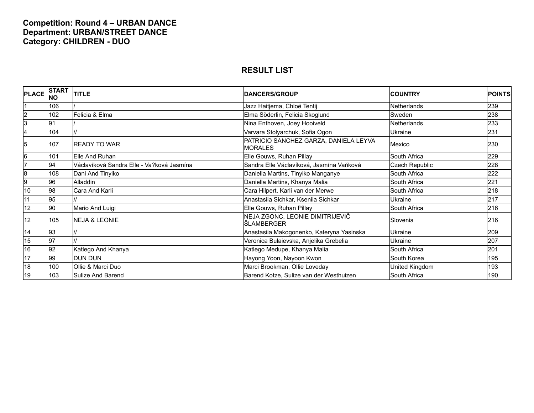### **Competition: Round 4 – URBAN DANCE Department: URBAN/STREET DANCE Category: CHILDREN - DUO**

| <b>PLACE</b>   | <b>START</b><br><b>NO</b> | <b>TITLE</b>                              | <b>DANCERS/GROUP</b>                                    | <b>COUNTRY</b> | <b>POINTS</b> |
|----------------|---------------------------|-------------------------------------------|---------------------------------------------------------|----------------|---------------|
|                | 106                       |                                           | Jazz Haitjema, Chloë Tentij                             | Netherlands    | 239           |
| $\overline{c}$ | 102                       | Felicia & Elma                            | Elma Söderlin, Felicia Skoglund                         | Sweden         | 238           |
| 3              | 91                        |                                           | Nina Enthoven, Joey Hooiveld                            | Netherlands    | 233           |
|                | 104                       |                                           | Varvara Stolyarchuk, Sofia Ogon                         | Ukraine        | 231           |
| 5              | 107                       | <b>IREADY TO WAR</b>                      | PATRICIO SANCHEZ GARZA, DANIELA LEYVA<br><b>MORALES</b> | Mexico         | 230           |
| 6              | 101                       | Elle And Ruhan                            | Elle Gouws, Ruhan Pillay                                | South Africa   | 229           |
|                | 94                        | Václavíková Sandra Elle - Va?ková Jasmína | Sandra Elle Václavíková, Jasmína Vaňková                | Czech Republic | 228           |
| 8              | 108                       | Dani And Tinyiko                          | Daniella Martins, Tinyiko Manganye                      | South Africa   | 222           |
| 9              | 96                        | <b>Alladdin</b>                           | Daniella Martins, Khanya Malia                          | South Africa   | 221           |
| 10             | 98                        | Cara And Karli                            | Cara Hilpert, Karli van der Merwe                       | South Africa   | 218           |
| 11             | 95                        |                                           | Anastasiia Sichkar, Kseniia Sichkar                     | Ukraine        | 217           |
| 12             | 90                        | Mario And Luigi                           | Elle Gouws, Ruhan Pillay                                | South Africa   | 216           |
| 12             | 105                       | <b>INEJA &amp; LEONIE</b>                 | NEJA ZGONC, LEONIE DIMITRIJEVIČ<br>ŠLAMBERGER           | Slovenia       | 216           |
| 14             | 93                        |                                           | Anastasiia Makogonenko, Kateryna Yasinska               | Ukraine        | 209           |
| 15             | $\overline{97}$           |                                           | Veronica Bulaievska, Anjelika Grebelia                  | Ukraine        | 207           |
| 16             | 92                        | Katlego And Khanya                        | Katlego Medupe, Khanya Malia                            | South Africa   | 201           |
| 17             | 99                        | <b>DUN DUN</b>                            | Hayong Yoon, Nayoon Kwon                                | South Korea    | 195           |
| 18             | 100                       | Ollie & Marci Duo                         | Marci Brookman, Ollie Loveday                           | United Kingdom | 193           |
| 19             | 103                       | Sulize And Barend                         | Barend Kotze, Sulize van der Westhuizen                 | South Africa   | 190           |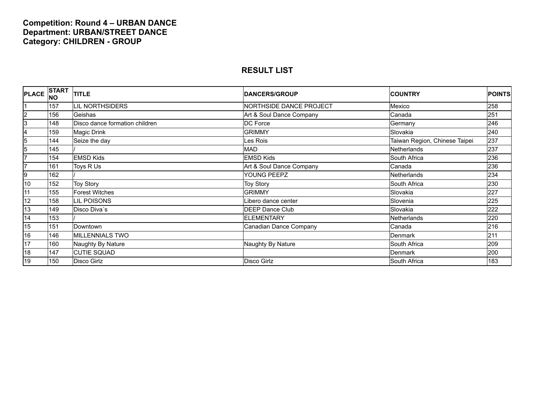### **Competition: Round 4 – URBAN DANCE Department: URBAN/STREET DANCE Category: CHILDREN - GROUP**

| <b>PLACE</b>   | <b>START</b><br><b>INO</b> | <b>TITLE</b>                   | <b>DANCERS/GROUP</b>     | <b>COUNTRY</b>                | <b>POINTS</b> |
|----------------|----------------------------|--------------------------------|--------------------------|-------------------------------|---------------|
|                | 157                        | <b>LIL NORTHSIDERS</b>         | NORTHSIDE DANCE PROJECT  | Mexico                        | 258           |
| $\overline{2}$ | 156                        | Geishas                        | Art & Soul Dance Company | Canada                        | 251           |
| 3              | 148                        | Disco dance formation children | DC Force                 | Germany                       | 246           |
| 14             | 159                        | Magic Drink                    | <b>GRIMMY</b>            | Slovakia                      | 240           |
| 5              | 144                        | Seize the day                  | es Rois                  | Taiwan Region, Chinese Taipei | 237           |
| 5              | 145                        |                                | <b>MAD</b>               | Netherlands                   | 237           |
|                | 154                        | <b>EMSD Kids</b>               | <b>EMSD Kids</b>         | South Africa                  | 236           |
|                | 161                        | Toys R Us                      | Art & Soul Dance Company | Canada                        | 236           |
| 9              | 162                        |                                | YOUNG PEEPZ              | <b>Netherlands</b>            | 234           |
| 10             | 152                        | <b>Toy Story</b>               | <b>Toy Story</b>         | South Africa                  | 230           |
| 11             | 155                        | <b>Forest Witches</b>          | <b>GRIMMY</b>            | Slovakia                      | 227           |
| 12             | 158                        | <b>LIL POISONS</b>             | libero dance center      | Slovenia                      | 225           |
| 13             | 149                        | Disco Diva's                   | DEEP Dance Club          | Slovakia                      | 222           |
| 14             | 153                        |                                | <b>ELEMENTARY</b>        | <b>Netherlands</b>            | 220           |
| 15             | 151                        | Downtown                       | Canadian Dance Company   | Canada                        | 216           |
| 16             | 146                        | <b>MILLENNIALS TWO</b>         |                          | <b>Denmark</b>                | 211           |
| 17             | 160                        | Naughty By Nature              | Naughty By Nature        | South Africa                  | 209           |
| 18             | 147                        | <b>CUTIE SQUAD</b>             |                          | Denmark                       | 200           |
| 19             | 150                        | <b>Disco Girlz</b>             | Disco Girlz              | South Africa                  | 183           |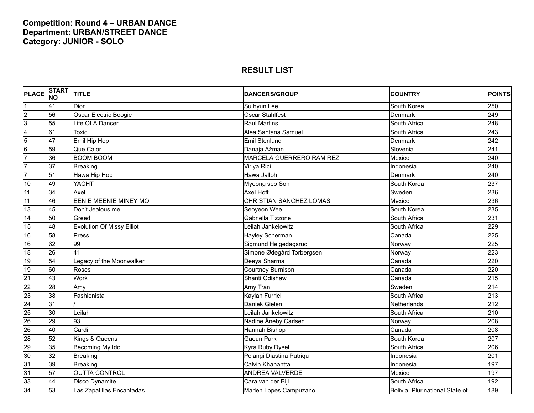### **Competition: Round 4 – URBAN DANCE Department: URBAN/STREET DANCE Category: JUNIOR - SOLO**

| <b>PLACE</b>    | <b>START</b><br><b>NO</b> | <b>TITLE</b>                     | <b>DANCERS/GROUP</b>            | <b>COUNTRY</b>                  | <b>POINTS</b> |
|-----------------|---------------------------|----------------------------------|---------------------------------|---------------------------------|---------------|
|                 | 41                        | Dior                             | Su hyun Lee                     | South Korea                     | 250           |
| $\overline{c}$  | 56                        | Oscar Electric Boogie            | <b>Oscar Stahlfest</b>          | Denmark                         | 249           |
| $\overline{3}$  | 55                        | Life Of A Dancer                 | <b>Raul Martins</b>             | South Africa                    | 248           |
| 4               | 61                        | <b>Toxic</b>                     | Alea Santana Samuel             | South Africa                    | 243           |
| 5               | 47                        | Emil Hip Hop                     | Emil Stenlund                   | Denmark                         | 242           |
| $6\overline{6}$ | 59                        | Que Calor                        | Danaja Ažman                    | Slovenia                        | 241           |
| 7               | 36                        | <b>BOOM BOOM</b>                 | <b>MARCELA GUERRERO RAMIREZ</b> | Mexico                          | 240           |
| 7               | 37                        | <b>Breaking</b>                  | Viriya Rici                     | Indonesia                       | 240           |
| 7               | 51                        | Hawa Hip Hop                     | Hawa Jalloh                     | <b>Denmark</b>                  | 240           |
| 10              | 49                        | <b>YACHT</b>                     | Myeong seo Son                  | South Korea                     | 237           |
| 11              | 34                        | Axel                             | Axel Hoff                       | Sweden                          | 236           |
| 11              | 46                        | <b>EENIE MEENIE MINEY MO</b>     | CHRISTIAN SANCHEZ LOMAS         | Mexico                          | 236           |
| 13              | 45                        | Don't Jealous me                 | Seoyeon Wee                     | South Korea                     | 235           |
| 14              | 50                        | Greed                            | Gabriella Tizzone               | South Africa                    | 231           |
| 15              | 48                        | <b>Evolution Of Missy Elliot</b> | Leilah Jankelowitz              | South Africa                    | 229           |
| 16              | 58                        | Press                            | Hayley Scherman                 | Canada                          | 225           |
| 16              | 62                        | 99                               | Sigmund Helgedagsrud            | Norway                          | 225           |
| 18              | 26                        | 41                               | Simone Ødegård Torbergsen       | Norway                          | 223           |
| 19              | 54                        | Legacy of the Moonwalker         | Deeya Sharma                    | Canada                          | 220           |
| 19              | 60                        | Roses                            | Courtney Burnison               | Canada                          | 220           |
| $\overline{21}$ | 43                        | Work                             | Shanti Odishaw                  | Canada                          | 215           |
| $\overline{22}$ | 28                        | Amy                              | Amy Tran                        | Sweden                          | 214           |
| 23              | 38                        | Fashionista                      | Kaylan Furriel                  | South Africa                    | 213           |
| 24              | 31                        |                                  | Daniek Gielen                   | Netherlands                     | 212           |
| 25              | 30                        | Leilah                           | eilah Jankelowitz               | South Africa                    | 210           |
| 26              | 29                        | 93                               | Nadine Åneby Carlsen            | Norway                          | 208           |
| 26              | 40                        | Cardi                            | Hannah Bishop                   | Canada                          | 208           |
| 28              | 52                        | Kings & Queens                   | <b>Gaeun Park</b>               | South Korea                     | 207           |
| 29              | 35                        | Becoming My Idol                 | Kyra Ruby Dysel                 | South Africa                    | 206           |
| 30              | 32                        | <b>Breaking</b>                  | Pelangi Diastina Putriqu        | Indonesia                       | 201           |
| 31              | 39                        | <b>Breaking</b>                  | Calvin Khanantta                | Indonesia                       | 197           |
| 31              | 57                        | <b>OUTTA CONTROL</b>             | <b>ANDREA VALVERDE</b>          | Mexico                          | 197           |
| 33              | 44                        | Disco Dynamite                   | Cara van der Bijl               | South Africa                    | 192           |
| 34              | 53                        | Las Zapatillas Encantadas        | Marlen Lopes Campuzano          | Bolivia, Plurinational State of | 189           |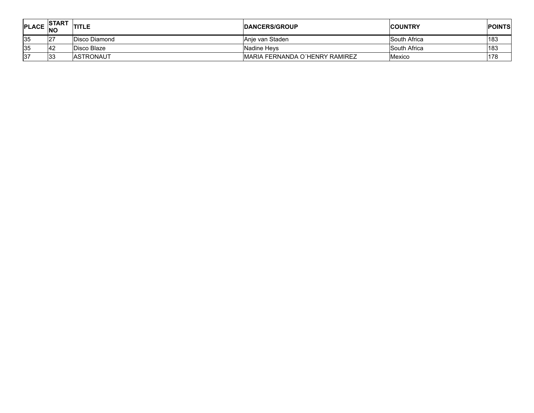| PLACE $ NO$ | <b>ISTART</b> | <b>TITLE</b>     | <b>IDANCERS/GROUP</b>                  | <b>ICOUNTRY</b> | <b>POINTS</b> |
|-------------|---------------|------------------|----------------------------------------|-----------------|---------------|
| 135         | 127           | Disco Diamond    | Anie van Staden                        | South Africa    | 183           |
| 35          | <b>42</b>     | Disco Blaze      | Nadine Hevs                            | South Africa    | 183           |
| 137         | 133           | <b>ASTRONAUT</b> | <b>IMARIA FERNANDA O'HENRY RAMIREZ</b> | <b>Mexico</b>   | 178           |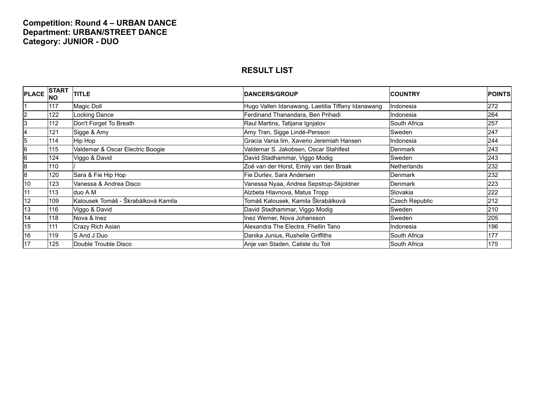### **Competition: Round 4 – URBAN DANCE Department: URBAN/STREET DANCE Category: JUNIOR - DUO**

| <b>PLACE</b>   | <b>START</b><br>INO | <b>TITLE</b>                        | <b>DANCERS/GROUP</b>                              | <b>COUNTRY</b>        | <b>POINTS</b> |
|----------------|---------------------|-------------------------------------|---------------------------------------------------|-----------------------|---------------|
|                | 117                 | Magic Doll                          | Hugo Vallen Idanawang, Laetitia Tiffany Idanawang | Indonesia             | 272           |
| $\overline{2}$ | 122                 | Locking Dance                       | Ferdinand Thanandara, Ben Prihadi                 | Indonesia             | 264           |
| 3              | 112                 | Don't Forget To Breath              | Raul Martins, Tatijana Ignjatov                   | South Africa          | 257           |
| 14             | 121                 | Sigge & Amy                         | Amy Tran, Sigge Lindé-Persson                     | Sweden                | 247           |
| 15             | 114                 | Hip Hop                             | Gracia Vania lim, Xaverio Jeremiah Hansen         | Indonesia             | 244           |
| 16             | 115                 | Valdemar & Oscar Electric Boogie    | Valdemar S. Jakobsen, Oscar Stahlfest             | Denmark               | 243           |
| 16             | 124                 | Viggo & David                       | David Stadhammar, Viggo Modig                     | Sweden                | 243           |
| 18             | 110                 |                                     | Zoë van der Horst, Emily van den Braak            | <b>Netherlands</b>    | 232           |
| 18             | 120                 | Sara & Fie Hip Hop                  | Fie Durlev, Sara Andersen                         | Denmark               | 232           |
| 10             | 123                 | Vanessa & Andrea Disco              | Vanessa Nyaa, Andrea Sepstrup-Skjoldner           | Denmark               | 223           |
| 11             | 113                 | duo A M                             | Alzbeta Hlavnova, Matus Tropp                     | Slovakia              | 222           |
| 12             | 109                 | Kalousek Tomáš - Škrabálková Kamila | Tomáš Kalousek, Kamila Škrabálková                | <b>Czech Republic</b> | 212           |
| 13             | 116                 | Viggo & David                       | David Stadhammar, Viggo Modig                     | Sweden                | 210           |
| 14             | 118                 | Nova & Inez                         | Inez Werner, Nova Johansson                       | Sweden                | 205           |
| 15             | 111                 | Crazy Rich Asian                    | Alexandra The Electra, Fhellin Tano               | Indonesia             | 196           |
| 16             | 119                 | S And J Duo                         | Danika Junius, Rushelle Griffiths                 | South Africa          | 177           |
| 17             | 125                 | Double Trouble Disco                | Anje van Staden, Caliste du Toit                  | South Africa          | 175           |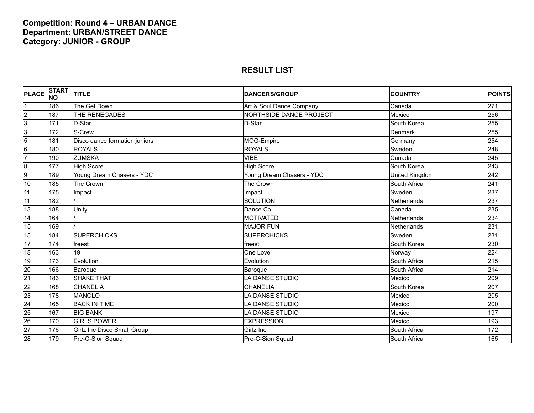### **Competition: Round 4 – URBAN DANCE Department: URBAN/STREET DANCE Category: JUNIOR - GROUP**

| <b>PLACE</b>    | <b>START</b><br><b>INO</b> | <b>TITLE</b>                  | <b>DANCERS/GROUP</b>           | <b>COUNTRY</b> | <b>POINTS</b> |
|-----------------|----------------------------|-------------------------------|--------------------------------|----------------|---------------|
|                 | 186                        | The Get Down                  | Art & Soul Dance Company       | Canada         | 271           |
| $\overline{2}$  | 187                        | THE RENEGADES                 | <b>NORTHSIDE DANCE PROJECT</b> | Mexico         | 256           |
| $\overline{3}$  | 171                        | D-Star                        | D-Star                         | South Korea    | 255           |
| $\overline{3}$  | 172                        | S-Crew                        |                                | Denmark        | 255           |
| $\overline{5}$  | 181                        | Disco dance formation juniors | MOG-Empire                     | Germany        | 254           |
| $6\overline{6}$ | 180                        | <b>ROYALS</b>                 | <b>ROYALS</b>                  | Sweden         | 248           |
| 7               | 190                        | <b>ZÙMSKA</b>                 | <b>VIBE</b>                    | Canada         | 245           |
| $\overline{8}$  | 177                        | <b>High Score</b>             | <b>High Score</b>              | South Korea    | 243           |
| 9               | 189                        | Young Dream Chasers - YDC     | Young Dream Chasers - YDC      | United Kingdom | 242           |
| 10              | 185                        | The Crown                     | The Crown                      | South Africa   | 241           |
| 11              | 175                        | Impact                        | Impact                         | Sweden         | 237           |
| $\overline{11}$ | 182                        |                               | <b>SOLUTION</b>                | Netherlands    | 237           |
| 13              | 188                        | Unity                         | Dance Co.                      | Canada         | 235           |
| 14              | 164                        |                               | <b>MOTIVATED</b>               | Netherlands    | 234           |
| 15              | 169                        |                               | <b>MAJOR FUN</b>               | Netherlands    | 231           |
| 15              | 184                        | <b>SUPERCHICKS</b>            | <b>SUPERCHICKS</b>             | Sweden         | 231           |
| 17              | 174                        | freest                        | freest                         | South Korea    | 230           |
| 18              | 163                        | 19                            | One Love                       | Norway         | 224           |
| 19              | 173                        | Evolution                     | Evolution                      | South Africa   | 215           |
| 20              | 166                        | Baroque                       | Baroque                        | South Africa   | 214           |
| $\overline{21}$ | 183                        | <b>SHAKE THAT</b>             | <b>LA DANSE STUDIO</b>         | Mexico         | 209           |
| $\overline{22}$ | 168                        | <b>CHANELIA</b>               | <b>CHANELIA</b>                | South Korea    | 207           |
| $\overline{23}$ | 178                        | <b>MANOLO</b>                 | <b>LA DANSE STUDIO</b>         | Mexico         | 205           |
| $\overline{24}$ | 165                        | <b>BACK IN TIME</b>           | <b>LA DANSE STUDIO</b>         | Mexico         | 200           |
| $\overline{25}$ | 167                        | <b>BIG BANK</b>               | <b>LA DANSE STUDIO</b>         | Mexico         | 197           |
| $\overline{26}$ | 170                        | <b>GIRLS POWER</b>            | <b>EXPRESSION</b>              | Mexico         | 193           |
| $\overline{27}$ | 176                        | Girlz Inc Disco Small Group   | Girlz Inc                      | South Africa   | 172           |
| 28              | 179                        | Pre-C-Sion Squad              | Pre-C-Sion Squad               | South Africa   | 165           |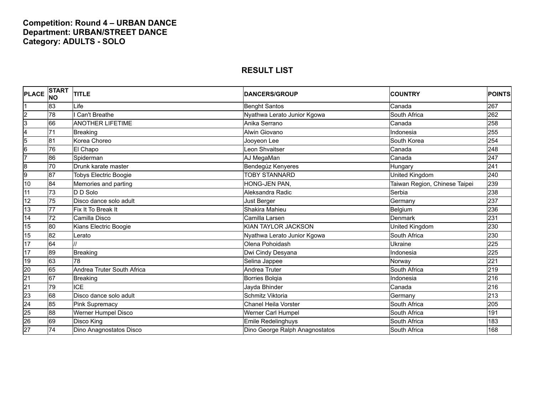### **Competition: Round 4 – URBAN DANCE Department: URBAN/STREET DANCE Category: ADULTS - SOLO**

| <b>PLACE</b>    | <b>START</b><br><b>NO</b> | <b>TITLE</b>                 | <b>DANCERS/GROUP</b>           | <b>COUNTRY</b>                | <b>POINTS</b> |
|-----------------|---------------------------|------------------------------|--------------------------------|-------------------------------|---------------|
|                 | 83                        | $L$ ife                      | <b>Benght Santos</b>           | Canada                        | 267           |
| $\overline{c}$  | 78                        | Can't Breathe                | Nyathwa Lerato Junior Kgowa    | South Africa                  | 262           |
| 3               | 66                        | <b>ANOTHER LIFETIME</b>      | Anika Serrano                  | Canada                        | 258           |
| 4               | 71                        | <b>Breaking</b>              | Alwin Giovano                  | Indonesia                     | 255           |
| $5\overline{)}$ | 81                        | Korea Choreo                 | Jooyeon Lee                    | South Korea                   | 254           |
| $6\overline{6}$ | 76                        | El Chapo                     | Leon Shvaitser                 | Canada                        | 248           |
| T               | 86                        | Spiderman                    | AJ MegaMan                     | Canada                        | 247           |
| 8               | 70                        | Drunk karate master          | Bendegúz Kenyeres              | Hungary                       | 241           |
| 9               | 87                        | <b>Tobys Electric Boogie</b> | <b>TOBY STANNARD</b>           | United Kingdom                | 240           |
| 10              | 84                        | Memories and parting         | HONG-JEN PAN,                  | Taiwan Region, Chinese Taipei | 239           |
| 11              | 73                        | D D Solo                     | Aleksandra Radic               | Serbia                        | 238           |
| 12              | 75                        | Disco dance solo adult       | Just Berger                    | Germany                       | 237           |
| 13              | 77                        | Fix It To Break It           | Shakira Mahieu                 | Belgium                       | 236           |
| 14              | $\overline{72}$           | Camilla Disco                | Camilla Larsen                 | Denmark                       | 231           |
| 15              | 80                        | Kians Electric Boogie        | KIAN TAYLOR JACKSON            | United Kingdom                | 230           |
| 15              | 82                        | Lerato                       | Nyathwa Lerato Junior Kgowa    | South Africa                  | 230           |
| 17              | 64                        |                              | Olena Pohoidash                | Ukraine                       | 225           |
| 17              | 89                        | Breaking                     | Dwi Cindy Desyana              | Indonesia                     | 225           |
| 19              | 63                        | 78                           | Selina Jappee                  | Norway                        | 221           |
| 20              | 65                        | Andrea Truter South Africa   | <b>Andrea Truter</b>           | South Africa                  | 219           |
| $\overline{21}$ | 67                        | Breaking                     | <b>Borries Bolgia</b>          | Indonesia                     | 216           |
| $\overline{21}$ | 79                        | <b>ICE</b>                   | Jayda Bhinder                  | Canada                        | 216           |
| 23              | 68                        | Disco dance solo adult       | Schmitz Viktoria               | Germany                       | 213           |
| 24              | 85                        | <b>Pink Supremacy</b>        | <b>Chanel Heila Vorster</b>    | South Africa                  | 205           |
| 25              | 88                        | Werner Humpel Disco          | Werner Carl Humpel             | South Africa                  | 191           |
| 26              | 69                        | Disco King                   | Emile Redelinghuys             | South Africa                  | 183           |
| $\overline{27}$ | 74                        | Dino Anagnostatos Disco      | Dino George Ralph Anagnostatos | South Africa                  | 168           |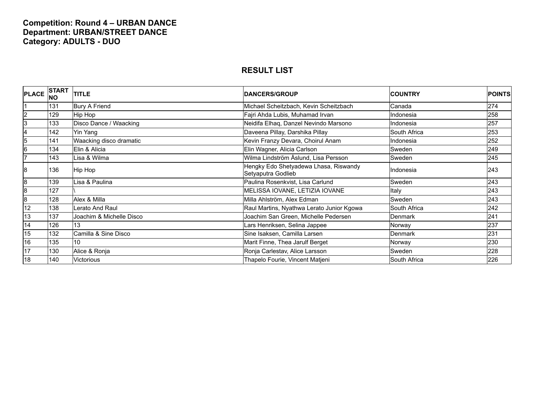### **Competition: Round 4 – URBAN DANCE Department: URBAN/STREET DANCE Category: ADULTS - DUO**

| <b>PLACE</b> | <b>START</b><br><b>INO</b> | <b>TITLE</b>             | <b>DANCERS/GROUP</b>                                        | <b>ICOUNTRY</b> | <b>POINTS</b> |
|--------------|----------------------------|--------------------------|-------------------------------------------------------------|-----------------|---------------|
|              | 131                        | <b>Bury A Friend</b>     | Michael Scheitzbach, Kevin Scheitzbach                      | Canada          | 274           |
| 2            | 129                        | Hip Hop                  | Fajri Ahda Lubis, Muhamad Irvan                             | Indonesia       | 258           |
| 3            | 133                        | Disco Dance / Waacking   | Neidifa Elhaq, Danzel Nevindo Marsono                       | Indonesia       | 257           |
|              | 142                        | Yin Yang                 | Daveena Pillay, Darshika Pillay                             | South Africa    | 253           |
| 5            | 141                        | Waacking disco dramatic  | Kevin Franzy Devara, Choirul Anam                           | Indonesia       | 252           |
| 6            | 134                        | Elin & Alicia            | Elin Wagner, Alicia Carlson                                 | Sweden          | 249           |
|              | 143                        | Lisa & Wilma             | Wilma Lindström Åslund, Lisa Persson                        | Sweden          | 245           |
| 8            | 136                        | Hip Hop                  | Hengky Edo Shetyadewa Lhasa, Riswandy<br>Setyaputra Godlieb | Indonesia       | 243           |
| 8            | 139                        | Lisa & Paulina           | Paulina Rosenkvist, Lisa Carlund                            | Sweden          | 243           |
| 8            | 127                        |                          | MELISSA IOVANE, LETIZIA IOVANE                              | Italy           | 243           |
| 8            | 128                        | Alex & Milla             | Milla Ahlström, Alex Edman                                  | Sweden          | 243           |
| 12           | 138                        | Lerato And Raul          | Raul Martins, Nyathwa Lerato Junior Kgowa                   | South Africa    | 242           |
| 13           | 137                        | Joachim & Michelle Disco | Joachim San Green, Michelle Pedersen                        | Denmark         | 241           |
| 14           | 126                        | 13                       | ars Henriksen, Selina Jappee                                | Norway          | 237           |
| 15           | 132                        | Camilla & Sine Disco     | Sine Isaksen, Camilla Larsen                                | <b>Denmark</b>  | 231           |
| 16           | 135                        | 10                       | Marit Finne, Thea Jarulf Berget                             | Norway          | 230           |
| 17           | 130                        | Alice & Ronja            | Ronja Carlestav, Alice Larsson                              | Sweden          | 228           |
| 18           | 140                        | Victorious               | Thapelo Fourie, Vincent Matjeni                             | South Africa    | 226           |